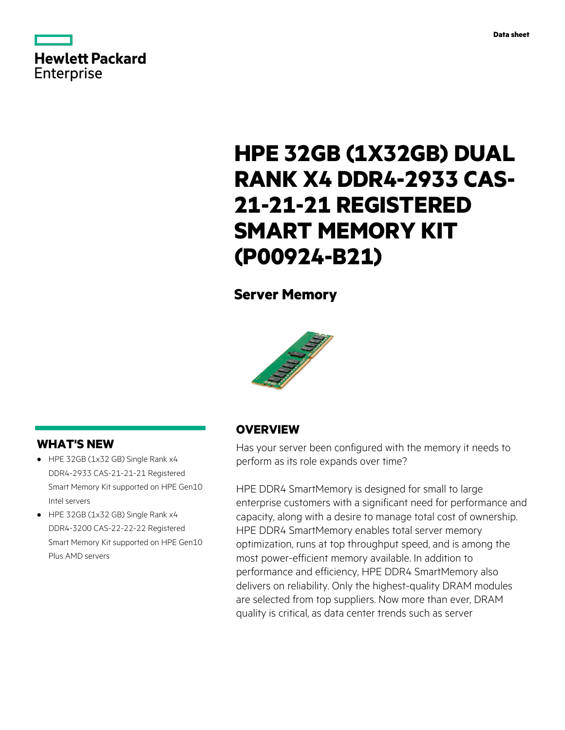

# **HPE 32GB (1X32GB) DUAL RANK X4 DDR4-2933 CAS-21-21-21 REGISTERED SMART MEMORY KIT (P00924-B21)**

# **Server Memory**



## **WHAT'S NEW**

- HPE 32GB (1x32 GB) Single Rank x4 **·** DDR4-2933 CAS-21-21-21 Registered Smart Memory Kit supported on HPE Gen10 Intel servers
- HPE 32GB (1x32 GB) Single Rank x4 **·** DDR4-3200 CAS-22-22-22 Registered Smart Memory Kit supported on HPE Gen10 Plus AMD servers

## **OVERVIEW**

Has your server been configured with the memory it needs to perform as its role expands over time?

HPE DDR4 SmartMemory is designed for small to large enterprise customers with a significant need for performance and capacity, along with a desire to manage total cost of ownership. HPE DDR4 SmartMemory enables total server memory optimization, runs at top throughput speed, and is among the most power-efficient memory available. In addition to performance and efficiency, HPE DDR4 SmartMemory also delivers on reliability. Only the highest-quality DRAM modules are selected from top suppliers. Now more than ever, DRAM quality is critical, as data center trends such as server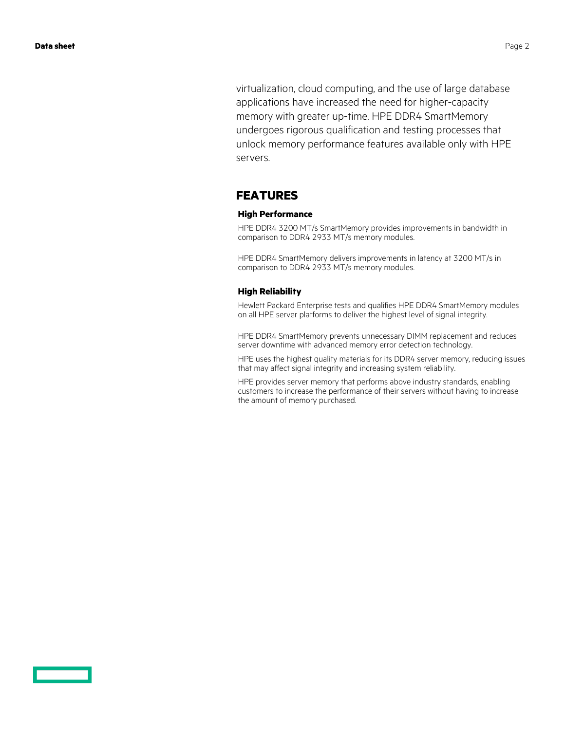virtualization, cloud computing, and the use of large database applications have increased the need for higher-capacity memory with greater up-time. HPE DDR4 SmartMemory undergoes rigorous qualification and testing processes that unlock memory performance features available only with HPE servers.

### **FEATURES**

### **High Performance**

HPE DDR4 3200 MT/s SmartMemory provides improvements in bandwidth in comparison to DDR4 2933 MT/s memory modules.

HPE DDR4 SmartMemory delivers improvements in latency at 3200 MT/s in comparison to DDR4 2933 MT/s memory modules.

### **High Reliability**

Hewlett Packard Enterprise tests and qualifies HPE DDR4 SmartMemory modules on all HPE server platforms to deliver the highest level of signal integrity.

HPE DDR4 SmartMemory prevents unnecessary DIMM replacement and reduces server downtime with advanced memory error detection technology.

HPE uses the highest quality materials for its DDR4 server memory, reducing issues that may affect signal integrity and increasing system reliability.

HPE provides server memory that performs above industry standards, enabling customers to increase the performance of their servers without having to increase the amount of memory purchased.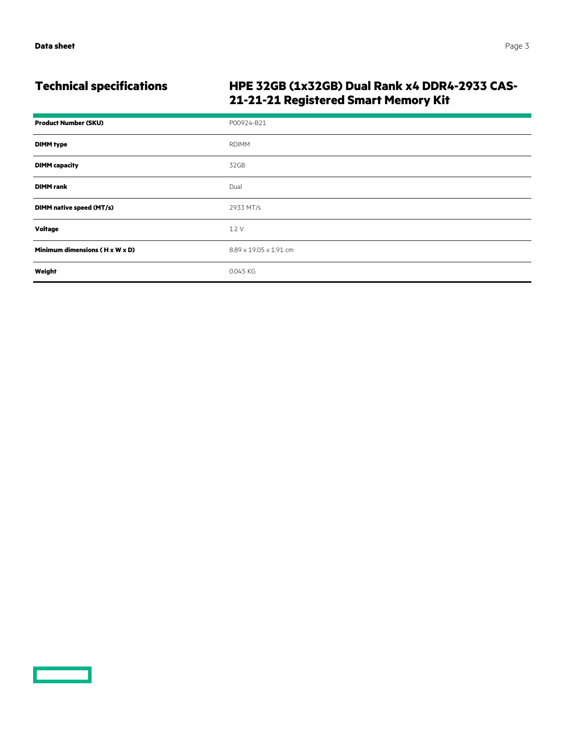# **Technical specifications HPE 32GB (1x32GB) Dual Rank x4 DDR4-2933 CAS-21-21-21 Registered Smart Memory Kit**

| <b>Product Number (SKU)</b>                | P00924-B21             |
|--------------------------------------------|------------------------|
| <b>DIMM type</b>                           | <b>RDIMM</b>           |
| <b>DIMM</b> capacity                       | 32GB                   |
| <b>DIMM</b> rank                           | Dual                   |
| DIMM native speed (MT/s)                   | 2933 MT/s              |
| Voltage                                    | 1.2V                   |
| Minimum dimensions $(H \times W \times D)$ | 8.89 x 19.05 x 1.91 cm |
| Weight                                     | 0.045 KG               |